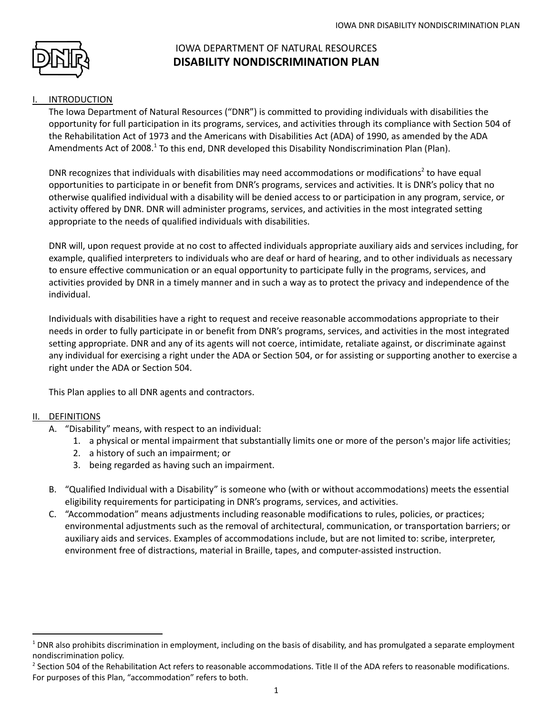

# IOWA DEPARTMENT OF NATURAL RESOURCES **DISABILITY NONDISCRIMINATION PLAN**

## **INTRODUCTION**

The Iowa Department of Natural Resources ("DNR") is committed to providing individuals with disabilities the opportunity for full participation in its programs, services, and activities through its compliance with Section 504 of the Rehabilitation Act of 1973 and the Americans with Disabilities Act (ADA) of 1990, as amended by the ADA Amendments Act of 2008.<sup>1</sup> To this end, DNR developed this Disability Nondiscrimination Plan (Plan).

DNR recognizes that individuals with disabilities may need accommodations or modifications<sup>2</sup> to have equal opportunities to participate in or benefit from DNR's programs, services and activities. It is DNR's policy that no otherwise qualified individual with a disability will be denied access to or participation in any program, service, or activity offered by DNR. DNR will administer programs, services, and activities in the most integrated setting appropriate to the needs of qualified individuals with disabilities.

DNR will, upon request provide at no cost to affected individuals appropriate auxiliary aids and services including, for example, qualified interpreters to individuals who are deaf or hard of hearing, and to other individuals as necessary to ensure effective communication or an equal opportunity to participate fully in the programs, services, and activities provided by DNR in a timely manner and in such a way as to protect the privacy and independence of the individual.

Individuals with disabilities have a right to request and receive reasonable accommodations appropriate to their needs in order to fully participate in or benefit from DNR's programs, services, and activities in the most integrated setting appropriate. DNR and any of its agents will not coerce, intimidate, retaliate against, or discriminate against any individual for exercising a right under the ADA or Section 504, or for assisting or supporting another to exercise a right under the ADA or Section 504.

This Plan applies to all DNR agents and contractors.

# II. DEFINITIONS

- A. "Disability" means, with respect to an individual:
	- 1. a physical or mental impairment that substantially limits one or more of the person's major life activities;
	- 2. a history of such an impairment; or
	- 3. being regarded as having such an impairment.
- B. "Qualified Individual with a Disability" is someone who (with or without accommodations) meets the essential eligibility requirements for participating in DNR's programs, services, and activities.
- C. "Accommodation" means adjustments including reasonable modifications to rules, policies, or practices; environmental adjustments such as the removal of architectural, communication, or transportation barriers; or auxiliary aids and services. Examples of accommodations include, but are not limited to: scribe, interpreter, environment free of distractions, material in Braille, tapes, and computer-assisted instruction.

 $1$  DNR also prohibits discrimination in employment, including on the basis of disability, and has promulgated a separate employment nondiscrimination policy.

<sup>&</sup>lt;sup>2</sup> Section 504 of the Rehabilitation Act refers to reasonable accommodations. Title II of the ADA refers to reasonable modifications. For purposes of this Plan, "accommodation" refers to both.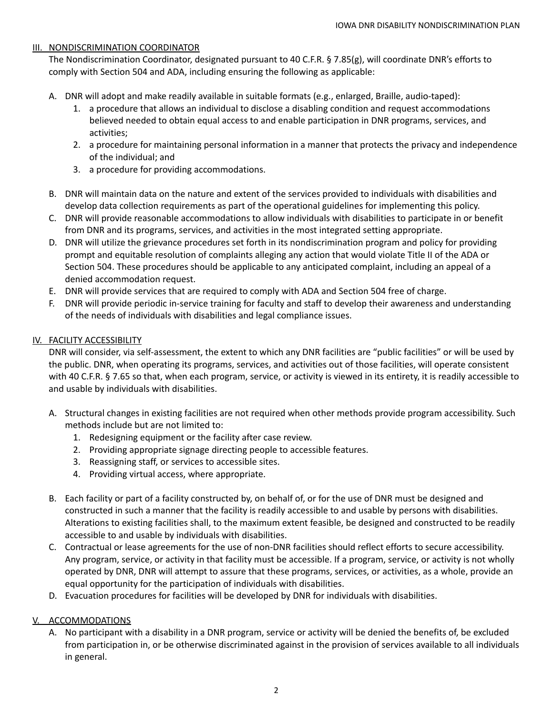#### III. NONDISCRIMINATION COORDINATOR

The Nondiscrimination Coordinator, designated pursuant to 40 C.F.R. § 7.85(g), will coordinate DNR's efforts to comply with Section 504 and ADA, including ensuring the following as applicable:

- A. DNR will adopt and make readily available in suitable formats (e.g., enlarged, Braille, audio-taped):
	- 1. a procedure that allows an individual to disclose a disabling condition and request accommodations believed needed to obtain equal access to and enable participation in DNR programs, services, and activities;
	- 2. a procedure for maintaining personal information in a manner that protects the privacy and independence of the individual; and
	- 3. a procedure for providing accommodations.
- B. DNR will maintain data on the nature and extent of the services provided to individuals with disabilities and develop data collection requirements as part of the operational guidelines for implementing this policy.
- C. DNR will provide reasonable accommodations to allow individuals with disabilities to participate in or benefit from DNR and its programs, services, and activities in the most integrated setting appropriate.
- D. DNR will utilize the grievance procedures set forth in its nondiscrimination program and policy for providing prompt and equitable resolution of complaints alleging any action that would violate Title II of the ADA or Section 504. These procedures should be applicable to any anticipated complaint, including an appeal of a denied accommodation request.
- E. DNR will provide services that are required to comply with ADA and Section 504 free of charge.
- F. DNR will provide periodic in-service training for faculty and staff to develop their awareness and understanding of the needs of individuals with disabilities and legal compliance issues.

## IV. FACILITY ACCESSIBILITY

DNR will consider, via self-assessment, the extent to which any DNR facilities are "public facilities" or will be used by the public. DNR, when operating its programs, services, and activities out of those facilities, will operate consistent with 40 C.F.R. § 7.65 so that, when each program, service, or activity is viewed in its entirety, it is readily accessible to and usable by individuals with disabilities.

- A. Structural changes in existing facilities are not required when other methods provide program accessibility. Such methods include but are not limited to:
	- 1. Redesigning equipment or the facility after case review.
	- 2. Providing appropriate signage directing people to accessible features.
	- 3. Reassigning staff, or services to accessible sites.
	- 4. Providing virtual access, where appropriate.
- B. Each facility or part of a facility constructed by, on behalf of, or for the use of DNR must be designed and constructed in such a manner that the facility is readily accessible to and usable by persons with disabilities. Alterations to existing facilities shall, to the maximum extent feasible, be designed and constructed to be readily accessible to and usable by individuals with disabilities.
- C. Contractual or lease agreements for the use of non-DNR facilities should reflect efforts to secure accessibility. Any program, service, or activity in that facility must be accessible. If a program, service, or activity is not wholly operated by DNR, DNR will attempt to assure that these programs, services, or activities, as a whole, provide an equal opportunity for the participation of individuals with disabilities.
- D. Evacuation procedures for facilities will be developed by DNR for individuals with disabilities.

# V. ACCOMMODATIONS

A. No participant with a disability in a DNR program, service or activity will be denied the benefits of, be excluded from participation in, or be otherwise discriminated against in the provision of services available to all individuals in general.